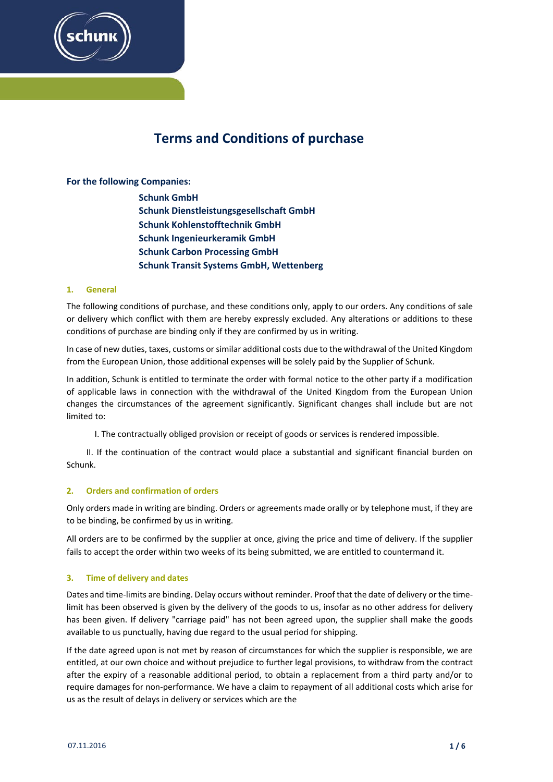

# **Terms and Conditions of purchase**

## **For the following Companies:**

**Schunk GmbH Schunk Dienstleistungsgesellschaft GmbH Schunk Kohlenstofftechnik GmbH Schunk Ingenieurkeramik GmbH Schunk Carbon Processing GmbH Schunk Transit Systems GmbH, Wettenberg**

#### **1. General**

The following conditions of purchase, and these conditions only, apply to our orders. Any conditions of sale or delivery which conflict with them are hereby expressly excluded. Any alterations or additions to these conditions of purchase are binding only if they are confirmed by us in writing.

In case of new duties, taxes, customs orsimilar additional costs due to the withdrawal of the United Kingdom from the European Union, those additional expenses will be solely paid by the Supplier of Schunk.

In addition, Schunk is entitled to terminate the order with formal notice to the other party if a modification of applicable laws in connection with the withdrawal of the United Kingdom from the European Union changes the circumstances of the agreement significantly. Significant changes shall include but are not limited to:

I. The contractually obliged provision or receipt of goods or services is rendered impossible.

II. If the continuation of the contract would place a substantial and significant financial burden on Schunk.

## **2. Orders and confirmation of orders**

Only orders made in writing are binding. Orders or agreements made orally or by telephone must, if they are to be binding, be confirmed by us in writing.

All orders are to be confirmed by the supplier at once, giving the price and time of delivery. If the supplier fails to accept the order within two weeks of its being submitted, we are entitled to countermand it.

## **3. Time of delivery and dates**

Dates and time‐limits are binding. Delay occurs without reminder. Proof that the date of delivery or the time‐ limit has been observed is given by the delivery of the goods to us, insofar as no other address for delivery has been given. If delivery "carriage paid" has not been agreed upon, the supplier shall make the goods available to us punctually, having due regard to the usual period for shipping.

If the date agreed upon is not met by reason of circumstances for which the supplier is responsible, we are entitled, at our own choice and without prejudice to further legal provisions, to withdraw from the contract after the expiry of a reasonable additional period, to obtain a replacement from a third party and/or to require damages for non‐performance. We have a claim to repayment of all additional costs which arise for us as the result of delays in delivery or services which are the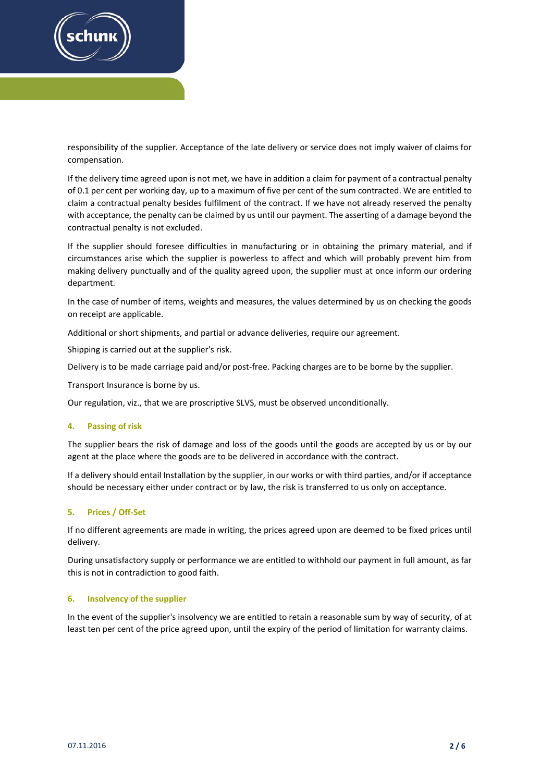

responsibility of the supplier. Acceptance of the late delivery or service does not imply waiver of claims for compensation.

If the delivery time agreed upon is not met, we have in addition a claim for payment of a contractual penalty of 0.1 per cent per working day, up to a maximum of five per cent of the sum contracted. We are entitled to claim a contractual penalty besides fulfilment of the contract. If we have not already reserved the penalty with acceptance, the penalty can be claimed by us until our payment. The asserting of a damage beyond the contractual penalty is not excluded.

If the supplier should foresee difficulties in manufacturing or in obtaining the primary material, and if circumstances arise which the supplier is powerless to affect and which will probably prevent him from making delivery punctually and of the quality agreed upon, the supplier must at once inform our ordering department.

In the case of number of items, weights and measures, the values determined by us on checking the goods on receipt are applicable.

Additional or short shipments, and partial or advance deliveries, require our agreement.

Shipping is carried out at the supplier's risk.

Delivery is to be made carriage paid and/or post-free. Packing charges are to be borne by the supplier.

Transport Insurance is borne by us.

Our regulation, viz., that we are proscriptive SLVS, must be observed unconditionally.

#### **4. Passing of risk**

The supplier bears the risk of damage and loss of the goods until the goods are accepted by us or by our agent at the place where the goods are to be delivered in accordance with the contract.

If a delivery should entail Installation by the supplier, in our works or with third parties, and/or if acceptance should be necessary either under contract or by law, the risk is transferred to us only on acceptance.

## **5. Prices / Off‐Set**

If no different agreements are made in writing, the prices agreed upon are deemed to be fixed prices until delivery.

During unsatisfactory supply or performance we are entitled to withhold our payment in full amount, as far this is not in contradiction to good faith.

## **6. Insolvency of the supplier**

In the event of the supplier's insolvency we are entitled to retain a reasonable sum by way of security, of at least ten per cent of the price agreed upon, until the expiry of the period of limitation for warranty claims.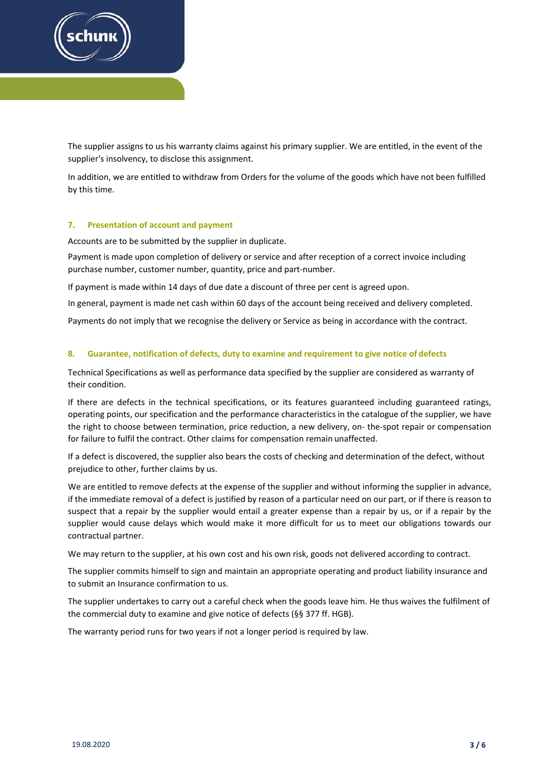

The supplier assigns to us his warranty claims against his primary supplier. We are entitled, in the event of the supplier's insolvency, to disclose this assignment.

In addition, we are entitled to withdraw from Orders for the volume of the goods which have not been fulfilled by this time.

#### **7. Presentation of account and payment**

Accounts are to be submitted by the supplier in duplicate.

Payment is made upon completion of delivery or service and after reception of a correct invoice including purchase number, customer number, quantity, price and part-number.

If payment is made within 14 days of due date a discount of three per cent is agreed upon.

In general, payment is made net cash within 60 days of the account being received and delivery completed.

Payments do not imply that we recognise the delivery or Service as being in accordance with the contract.

#### **8. Guarantee, notification of defects, duty to examine and requirement to give notice of defects**

Technical Specifications as well as performance data specified by the supplier are considered as warranty of their condition.

If there are defects in the technical specifications, or its features guaranteed including guaranteed ratings, operating points, our specification and the performance characteristics in the catalogue of the supplier, we have the right to choose between termination, price reduction, a new delivery, on‐ the‐spot repair or compensation for failure to fulfil the contract. Other claims for compensation remain unaffected.

If a defect is discovered, the supplier also bears the costs of checking and determination of the defect, without prejudice to other, further claims by us.

We are entitled to remove defects at the expense of the supplier and without informing the supplier in advance, if the immediate removal of a defect is justified by reason of a particular need on our part, or if there is reason to suspect that a repair by the supplier would entail a greater expense than a repair by us, or if a repair by the supplier would cause delays which would make it more difficult for us to meet our obligations towards our contractual partner.

We may return to the supplier, at his own cost and his own risk, goods not delivered according to contract.

The supplier commits himself to sign and maintain an appropriate operating and product liability insurance and to submit an Insurance confirmation to us.

The supplier undertakes to carry out a careful check when the goods leave him. He thus waives the fulfilment of the commercial duty to examine and give notice of defects (§§ 377 ff. HGB).

The warranty period runs for two years if not a longer period is required by law.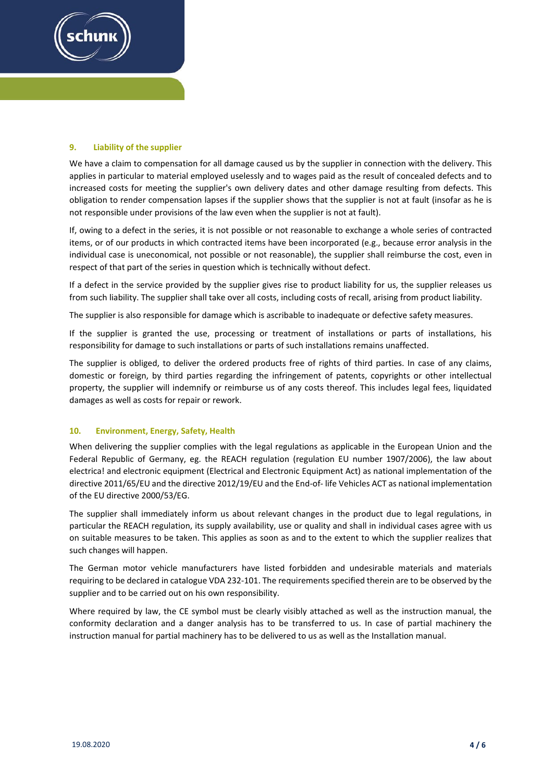

## **9. Liability of the supplier**

We have a claim to compensation for all damage caused us by the supplier in connection with the delivery. This applies in particular to material employed uselessly and to wages paid as the result of concealed defects and to increased costs for meeting the supplier's own delivery dates and other damage resulting from defects. This obligation to render compensation lapses if the supplier shows that the supplier is not at fault (insofar as he is not responsible under provisions of the law even when the supplier is not at fault).

If, owing to a defect in the series, it is not possible or not reasonable to exchange a whole series of contracted items, or of our products in which contracted items have been incorporated (e.g., because error analysis in the individual case is uneconomical, not possible or not reasonable), the supplier shall reimburse the cost, even in respect of that part of the series in question which is technically without defect.

If a defect in the service provided by the supplier gives rise to product liability for us, the supplier releases us from such liability. The supplier shall take over all costs, including costs of recall, arising from product liability.

The supplier is also responsible for damage which is ascribable to inadequate or defective safety measures.

If the supplier is granted the use, processing or treatment of installations or parts of installations, his responsibility for damage to such installations or parts of such installations remains unaffected.

The supplier is obliged, to deliver the ordered products free of rights of third parties. In case of any claims, domestic or foreign, by third parties regarding the infringement of patents, copyrights or other intellectual property, the supplier will indemnify or reimburse us of any costs thereof. This includes legal fees, liquidated damages as well as costs for repair or rework.

## **10. Environment, Energy, Safety, Health**

When delivering the supplier complies with the legal regulations as applicable in the European Union and the Federal Republic of Germany, eg. the REACH regulation (regulation EU number 1907/2006), the law about electrica! and electronic equipment (Electrical and Electronic Equipment Act) as national implementation of the directive 2011/65/EU and the directive 2012/19/EU and the End‐of‐ life Vehicles ACT as national implementation of the EU directive 2000/53/EG.

The supplier shall immediately inform us about relevant changes in the product due to legal regulations, in particular the REACH regulation, its supply availability, use or quality and shall in individual cases agree with us on suitable measures to be taken. This applies as soon as and to the extent to which the supplier realizes that such changes will happen.

The German motor vehicle manufacturers have listed forbidden and undesirable materials and materials requiring to be declared in catalogue VDA 232‐101. The requirementsspecified therein are to be observed by the supplier and to be carried out on his own responsibility.

Where required by law, the CE symbol must be clearly visibly attached as well as the instruction manual, the conformity declaration and a danger analysis has to be transferred to us. In case of partial machinery the instruction manual for partial machinery has to be delivered to us as well as the Installation manual.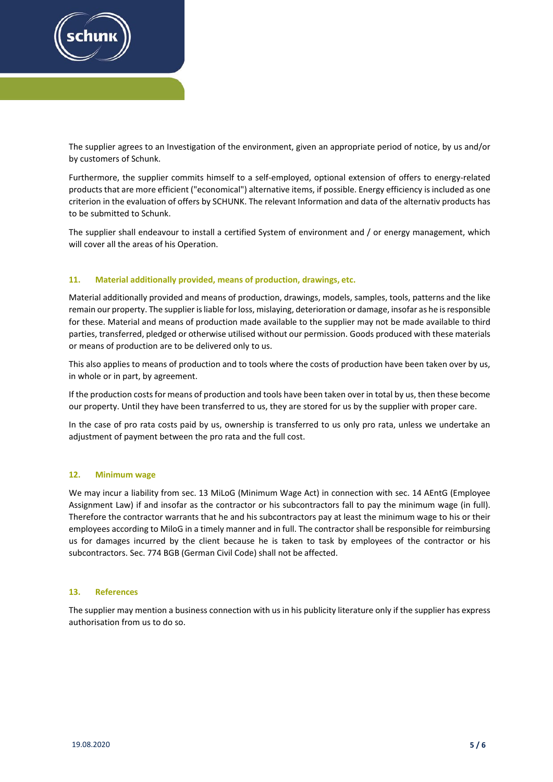

The supplier agrees to an Investigation of the environment, given an appropriate period of notice, by us and/or by customers of Schunk.

Furthermore, the supplier commits himself to a self-employed, optional extension of offers to energy-related products that are more efficient ("economical") alternative items, if possible. Energy efficiency is included as one criterion in the evaluation of offers by SCHUNK. The relevant Information and data of the alternativ products has to be submitted to Schunk.

The supplier shall endeavour to install a certified System of environment and / or energy management, which will cover all the areas of his Operation.

## **11. Material additionally provided, means of production, drawings, etc.**

Material additionally provided and means of production, drawings, models, samples, tools, patterns and the like remain our property. The supplier is liable for loss, mislaying, deterioration or damage, insofar as he is responsible for these. Material and means of production made available to the supplier may not be made available to third parties, transferred, pledged or otherwise utilised without our permission. Goods produced with these materials or means of production are to be delivered only to us.

This also applies to means of production and to tools where the costs of production have been taken over by us, in whole or in part, by agreement.

If the production costs for means of production and tools have been taken over in total by us, then these become our property. Until they have been transferred to us, they are stored for us by the supplier with proper care.

In the case of pro rata costs paid by us, ownership is transferred to us only pro rata, unless we undertake an adjustment of payment between the pro rata and the full cost.

## **12. Minimum wage**

We may incur a liability from sec. 13 MiLoG (Minimum Wage Act) in connection with sec. 14 AEntG (Employee Assignment Law) if and insofar as the contractor or his subcontractors fall to pay the minimum wage (in full). Therefore the contractor warrants that he and his subcontractors pay at least the minimum wage to his or their employees according to MiloG in a timely manner and in full. The contractor shall be responsible for reimbursing us for damages incurred by the client because he is taken to task by employees of the contractor or his subcontractors. Sec. 774 BGB (German Civil Code) shall not be affected.

## **13. References**

The supplier may mention a business connection with us in his publicity literature only if the supplier has express authorisation from us to do so.